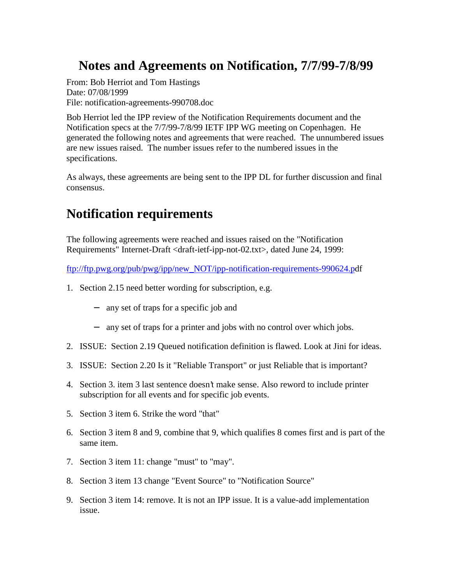## **Notes and Agreements on Notification, 7/7/99-7/8/99**

From: Bob Herriot and Tom Hastings Date: 07/08/1999 File: notification-agreements-990708.doc

Bob Herriot led the IPP review of the Notification Requirements document and the Notification specs at the 7/7/99-7/8/99 IETF IPP WG meeting on Copenhagen. He generated the following notes and agreements that were reached. The unnumbered issues are new issues raised. The number issues refer to the numbered issues in the specifications.

As always, these agreements are being sent to the IPP DL for further discussion and final consensus.

# **Notification requirements**

The following agreements were reached and issues raised on the "Notification Requirements" Internet-Draft <draft-ietf-ipp-not-02.txt>, dated June 24, 1999:

ftp://ftp.pwg.org/pub/pwg/ipp/new\_NOT/ipp-notification-requirements-990624.pdf

- 1. Section 2.15 need better wording for subscription, e.g.
	- − any set of traps for a specific job and
	- − any set of traps for a printer and jobs with no control over which jobs.
- 2. ISSUE: Section 2.19 Queued notification definition is flawed. Look at Jini for ideas.
- 3. ISSUE: Section 2.20 Is it "Reliable Transport" or just Reliable that is important?
- 4. Section 3. item 3 last sentence doesn't make sense. Also reword to include printer subscription for all events and for specific job events.
- 5. Section 3 item 6. Strike the word "that"
- 6. Section 3 item 8 and 9, combine that 9, which qualifies 8 comes first and is part of the same item.
- 7. Section 3 item 11: change "must" to "may".
- 8. Section 3 item 13 change "Event Source" to "Notification Source"
- 9. Section 3 item 14: remove. It is not an IPP issue. It is a value-add implementation issue.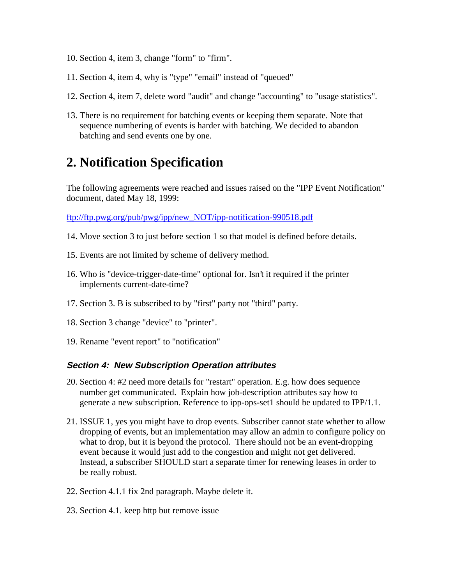- 10. Section 4, item 3, change "form" to "firm".
- 11. Section 4, item 4, why is "type" "email" instead of "queued"
- 12. Section 4, item 7, delete word "audit" and change "accounting" to "usage statistics".
- 13. There is no requirement for batching events or keeping them separate. Note that sequence numbering of events is harder with batching. We decided to abandon batching and send events one by one.

### **2. Notification Specification**

The following agreements were reached and issues raised on the "IPP Event Notification" document, dated May 18, 1999:

ftp://ftp.pwg.org/pub/pwg/ipp/new\_NOT/ipp-notification-990518.pdf

- 14. Move section 3 to just before section 1 so that model is defined before details.
- 15. Events are not limited by scheme of delivery method.
- 16. Who is "device-trigger-date-time" optional for. Isn't it required if the printer implements current-date-time?
- 17. Section 3. B is subscribed to by "first" party not "third" party.
- 18. Section 3 change "device" to "printer".
- 19. Rename "event report" to "notification"

#### **Section 4: New Subscription Operation attributes**

- 20. Section 4: #2 need more details for "restart" operation. E.g. how does sequence number get communicated. Explain how job-description attributes say how to generate a new subscription. Reference to ipp-ops-set1 should be updated to IPP/1.1.
- 21. ISSUE 1, yes you might have to drop events. Subscriber cannot state whether to allow dropping of events, but an implementation may allow an admin to configure policy on what to drop, but it is beyond the protocol. There should not be an event-dropping event because it would just add to the congestion and might not get delivered. Instead, a subscriber SHOULD start a separate timer for renewing leases in order to be really robust.
- 22. Section 4.1.1 fix 2nd paragraph. Maybe delete it.
- 23. Section 4.1. keep http but remove issue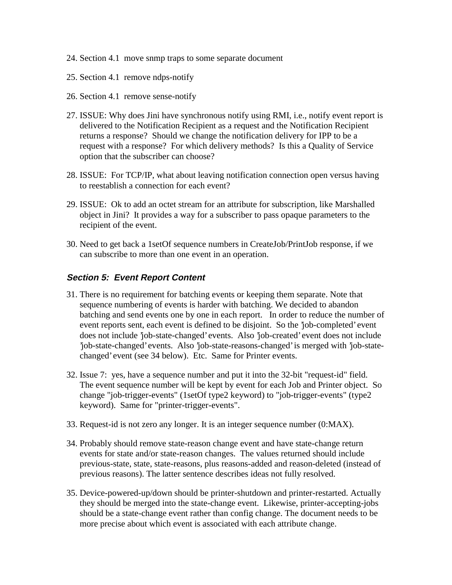- 24. Section 4.1 move snmp traps to some separate document
- 25. Section 4.1 remove ndps-notify
- 26. Section 4.1 remove sense-notify
- 27. ISSUE: Why does Jini have synchronous notify using RMI, i.e., notify event report is delivered to the Notification Recipient as a request and the Notification Recipient returns a response? Should we change the notification delivery for IPP to be a request with a response? For which delivery methods? Is this a Quality of Service option that the subscriber can choose?
- 28. ISSUE: For TCP/IP, what about leaving notification connection open versus having to reestablish a connection for each event?
- 29. ISSUE: Ok to add an octet stream for an attribute for subscription, like Marshalled object in Jini? It provides a way for a subscriber to pass opaque parameters to the recipient of the event.
- 30. Need to get back a 1setOf sequence numbers in CreateJob/PrintJob response, if we can subscribe to more than one event in an operation.

### **Section 5: Event Report Content**

- 31. There is no requirement for batching events or keeping them separate. Note that sequence numbering of events is harder with batching. We decided to abandon batching and send events one by one in each report. In order to reduce the number of event reports sent, each event is defined to be disjoint. So the 'job-completed' event does not include 'job-state-changed' events. Also 'job-created' event does not include 'job-state-changed' events. Also 'job-state-reasons-changed' is merged with 'job-statechanged' event (see 34 below). Etc. Same for Printer events.
- 32. Issue 7: yes, have a sequence number and put it into the 32-bit "request-id" field. The event sequence number will be kept by event for each Job and Printer object. So change "job-trigger-events" (1setOf type2 keyword) to "job-trigger-events" (type2 keyword). Same for "printer-trigger-events".
- 33. Request-id is not zero any longer. It is an integer sequence number (0:MAX).
- 34. Probably should remove state-reason change event and have state-change return events for state and/or state-reason changes. The values returned should include previous-state, state, state-reasons, plus reasons-added and reason-deleted (instead of previous reasons). The latter sentence describes ideas not fully resolved.
- 35. Device-powered-up/down should be printer-shutdown and printer-restarted. Actually they should be merged into the state-change event. Likewise, printer-accepting-jobs should be a state-change event rather than config change. The document needs to be more precise about which event is associated with each attribute change.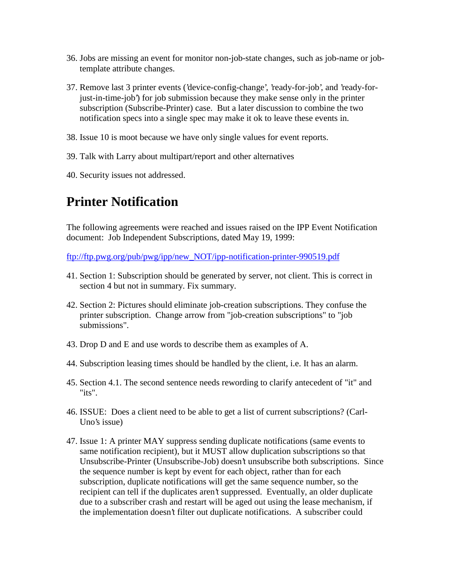- 36. Jobs are missing an event for monitor non-job-state changes, such as job-name or jobtemplate attribute changes.
- 37. Remove last 3 printer events ('device-config-change', 'ready-for-job', and 'ready-forjust-in-time-job') for job submission because they make sense only in the printer subscription (Subscribe-Printer) case. But a later discussion to combine the two notification specs into a single spec may make it ok to leave these events in.
- 38. Issue 10 is moot because we have only single values for event reports.
- 39. Talk with Larry about multipart/report and other alternatives
- 40. Security issues not addressed.

## **Printer Notification**

The following agreements were reached and issues raised on the IPP Event Notification document: Job Independent Subscriptions, dated May 19, 1999:

ftp://ftp.pwg.org/pub/pwg/ipp/new\_NOT/ipp-notification-printer-990519.pdf

- 41. Section 1: Subscription should be generated by server, not client. This is correct in section 4 but not in summary. Fix summary.
- 42. Section 2: Pictures should eliminate job-creation subscriptions. They confuse the printer subscription. Change arrow from "job-creation subscriptions" to "job submissions".
- 43. Drop D and E and use words to describe them as examples of A.
- 44. Subscription leasing times should be handled by the client, i.e. It has an alarm.
- 45. Section 4.1. The second sentence needs rewording to clarify antecedent of "it" and "its".
- 46. ISSUE: Does a client need to be able to get a list of current subscriptions? (Carl-Uno's issue)
- 47. Issue 1: A printer MAY suppress sending duplicate notifications (same events to same notification recipient), but it MUST allow duplication subscriptions so that Unsubscribe-Printer (Unsubscribe-Job) doesn't unsubscribe both subscriptions. Since the sequence number is kept by event for each object, rather than for each subscription, duplicate notifications will get the same sequence number, so the recipient can tell if the duplicates aren't suppressed. Eventually, an older duplicate due to a subscriber crash and restart will be aged out using the lease mechanism, if the implementation doesn't filter out duplicate notifications. A subscriber could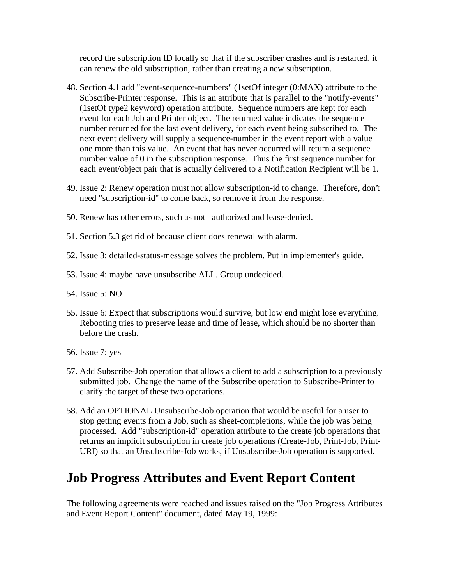record the subscription ID locally so that if the subscriber crashes and is restarted, it can renew the old subscription, rather than creating a new subscription.

- 48. Section 4.1 add "event-sequence-numbers" (1setOf integer (0:MAX) attribute to the Subscribe-Printer response. This is an attribute that is parallel to the "notify-events" (1setOf type2 keyword) operation attribute. Sequence numbers are kept for each event for each Job and Printer object. The returned value indicates the sequence number returned for the last event delivery, for each event being subscribed to. The next event delivery will supply a sequence-number in the event report with a value one more than this value. An event that has never occurred will return a sequence number value of 0 in the subscription response. Thus the first sequence number for each event/object pair that is actually delivered to a Notification Recipient will be 1.
- 49. Issue 2: Renew operation must not allow subscription-id to change. Therefore, don't need "subscription-id" to come back, so remove it from the response.
- 50. Renew has other errors, such as not –authorized and lease-denied.
- 51. Section 5.3 get rid of because client does renewal with alarm.
- 52. Issue 3: detailed-status-message solves the problem. Put in implementer's guide.
- 53. Issue 4: maybe have unsubscribe ALL. Group undecided.
- 54. Issue 5: NO
- 55. Issue 6: Expect that subscriptions would survive, but low end might lose everything. Rebooting tries to preserve lease and time of lease, which should be no shorter than before the crash.
- 56. Issue 7: yes
- 57. Add Subscribe-Job operation that allows a client to add a subscription to a previously submitted job. Change the name of the Subscribe operation to Subscribe-Printer to clarify the target of these two operations.
- 58. Add an OPTIONAL Unsubscribe-Job operation that would be useful for a user to stop getting events from a Job, such as sheet-completions, while the job was being processed. Add "subscription-id" operation attribute to the create job operations that returns an implicit subscription in create job operations (Create-Job, Print-Job, Print-URI) so that an Unsubscribe-Job works, if Unsubscribe-Job operation is supported.

### **Job Progress Attributes and Event Report Content**

The following agreements were reached and issues raised on the "Job Progress Attributes and Event Report Content" document, dated May 19, 1999: